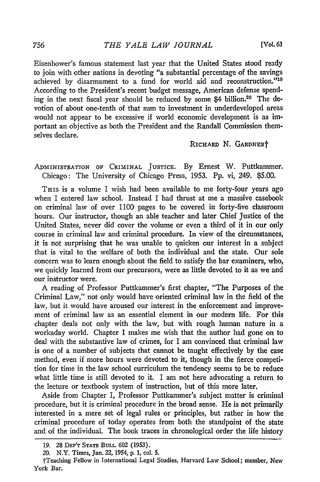Eisenhower's famous statement last year that the United States stood ready to join with other nations in devoting "a substantial percentage of the savings achieved by disarmament to a fund for world aid and reconstruction."<sup>19</sup> According to the President's recent budget message, American defense spending in the next fiscal year should be reduced by some \$4 billion.<sup>20</sup> The devotion of about one-tenth of that sum to investment in underdeveloped areas would not appear to be excessive if world economic development is as important an objective as both the President and the Randall Commission themselves declare.

RICHARD N. GARDNERt

**ADMINISTRATION OF** CRIMINAL **JUSTICE.** By Ernest W. Puttkammer. Chicago: The University of Chicago Press, 1953. Pp. vi, 249. \$5.00.

THIS is a volume I wish had been available to me forty-four years ago when I entered law school. Instead I had thrust at me a massive casebook on criminal law of over **1100** pages to be covered in forty-five classroom hours. Our instructor, though an able teacher and later Chief Justice of the United States, never did cover the volume or even a third of it in our only course in criminal law and criminal procedure. In view of the circumstances, it is not surprising that he was unable to quicken our interest in a subject that is vital to the welfare of both the individual and the state. Our sole concern was to learn enough about the field to satisfy the bar examiners, who, we quickly learned from our precursors, were as little devoted to it as we and our instructor were.

A reading of Professor Puttkammer's first chapter, "The Purposes of the Criminal Law," not only would have oriented criminal law in the field of the law, but it would have aroused our interest in the enforcement and improvement of criminal law as an essential element in our modern life. For this chapter deals not only with the law, but with rough human nature in a workaday world. Chapter I makes me wish that the author had gone on to deal with the substantive law of crimes, for I am convinced that criminal law is one of a number of subjects that cannot be taught effectively by the case method, even if more hours were devoted to it, though in the fierce competition for time in the law school curriculum the tendency seems to be to reduce what little time is still devoted to it. I am not here advocating a return to the lecture or textbook system of instruction, but of this more later.

Aside from Chapter I, Professor Puttkammer's subject matter is criminal procedure, but it is criminal procedure in the broad sense. He is not primarily interested in a mere set of legal rules or principles, but rather in how the criminal procedure of today operates from both the standpoint of the state and of the individual. The book traces in chronological order the life history

**<sup>19.</sup>** 28 *DE'T* **STATE** Bum. **602** (1953).

<sup>20.</sup> N.Y. Times, Jan. 22, 1954, **p. 1,** col. **5.**

tTeaching Fellow in International Legal Studies, Harvard Law School; member, New York Bar.